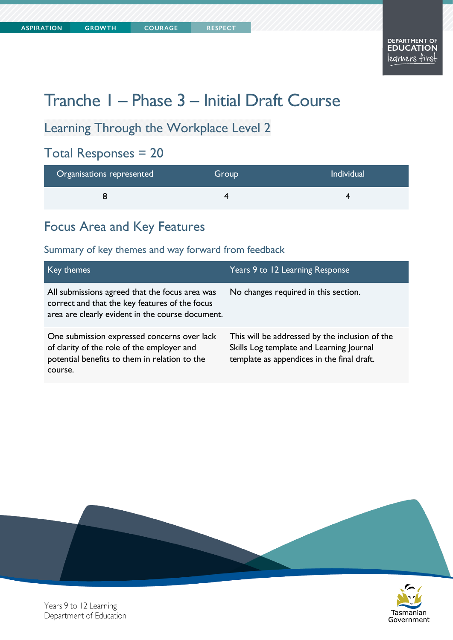# Tranche 1 – Phase 3 – Initial Draft Course

Learning Through the Workplace Level 2

**COURAGE** 

# Total Responses = 20

| Organisations represented | Group | Individual |
|---------------------------|-------|------------|
|                           |       |            |

### Focus Area and Key Features

### Summary of key themes and way forward from feedback

| Key themes                                                                                                                                            | Years 9 to 12 Learning Response                                                                                                          |
|-------------------------------------------------------------------------------------------------------------------------------------------------------|------------------------------------------------------------------------------------------------------------------------------------------|
| All submissions agreed that the focus area was<br>correct and that the key features of the focus<br>area are clearly evident in the course document.  | No changes required in this section.                                                                                                     |
| One submission expressed concerns over lack<br>of clarity of the role of the employer and<br>potential benefits to them in relation to the<br>course. | This will be addressed by the inclusion of the<br>Skills Log template and Learning Journal<br>template as appendices in the final draft. |





Years 9 to 12 Learning Department of Education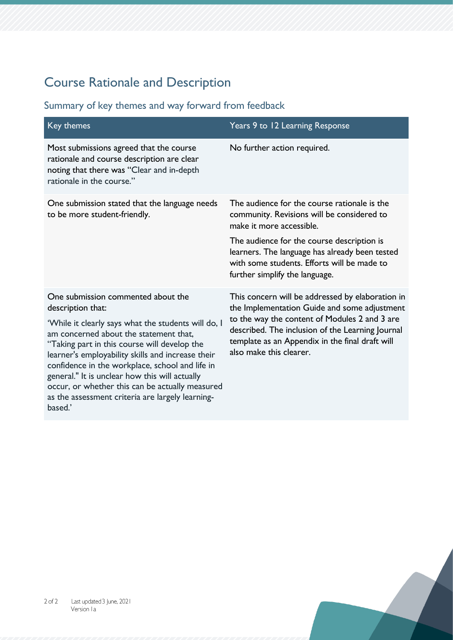# Course Rationale and Description

| Key themes                                                                                                                                                                                                                                                                                                                                                                                                                                                                           | Years 9 to 12 Learning Response                                                                                                                                                                                                                                                     |
|--------------------------------------------------------------------------------------------------------------------------------------------------------------------------------------------------------------------------------------------------------------------------------------------------------------------------------------------------------------------------------------------------------------------------------------------------------------------------------------|-------------------------------------------------------------------------------------------------------------------------------------------------------------------------------------------------------------------------------------------------------------------------------------|
| Most submissions agreed that the course<br>rationale and course description are clear<br>noting that there was "Clear and in-depth<br>rationale in the course."                                                                                                                                                                                                                                                                                                                      | No further action required.                                                                                                                                                                                                                                                         |
| One submission stated that the language needs<br>to be more student-friendly.                                                                                                                                                                                                                                                                                                                                                                                                        | The audience for the course rationale is the<br>community. Revisions will be considered to<br>make it more accessible.                                                                                                                                                              |
|                                                                                                                                                                                                                                                                                                                                                                                                                                                                                      | The audience for the course description is<br>learners. The language has already been tested<br>with some students. Efforts will be made to<br>further simplify the language.                                                                                                       |
| One submission commented about the<br>description that:<br>'While it clearly says what the students will do, I<br>am concerned about the statement that,<br>"Taking part in this course will develop the<br>learner's employability skills and increase their<br>confidence in the workplace, school and life in<br>general." It is unclear how this will actually<br>occur, or whether this can be actually measured<br>as the assessment criteria are largely learning-<br>based.' | This concern will be addressed by elaboration in<br>the Implementation Guide and some adjustment<br>to the way the content of Modules 2 and 3 are<br>described. The inclusion of the Learning Journal<br>template as an Appendix in the final draft will<br>also make this clearer. |

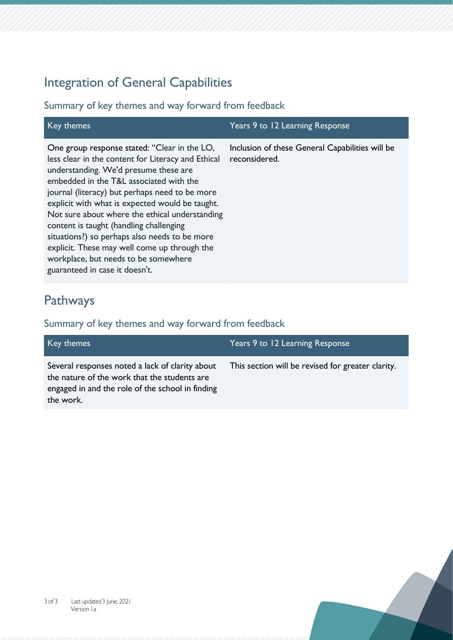# Integration of General Capabilities

### Summary of key themes and way forward from feedback

| Key themes                                                                                                                                                                                                                                                                                                                                                                                                                                                                                                                                                          | Years 9 to 12 Learning Response                                  |
|---------------------------------------------------------------------------------------------------------------------------------------------------------------------------------------------------------------------------------------------------------------------------------------------------------------------------------------------------------------------------------------------------------------------------------------------------------------------------------------------------------------------------------------------------------------------|------------------------------------------------------------------|
| One group response stated: "Clear in the LO,<br>less clear in the content for Literacy and Ethical<br>understanding. We'd presume these are<br>embedded in the T&L associated with the<br>journal (literacy) but perhaps need to be more<br>explicit with what is expected would be taught.<br>Not sure about where the ethical understanding<br>content is taught (handling challenging<br>situations?) so perhaps also needs to be more<br>explicit. These may well come up through the<br>workplace, but needs to be somewhere<br>guaranteed in case it doesn't. | Inclusion of these General Capabilities will be<br>reconsidered. |

### Pathways

| Key themes                                                                                                                                                       | Years 9 to 12 Learning Response                   |
|------------------------------------------------------------------------------------------------------------------------------------------------------------------|---------------------------------------------------|
| Several responses noted a lack of clarity about<br>the nature of the work that the students are<br>engaged in and the role of the school in finding<br>the work. | This section will be revised for greater clarity. |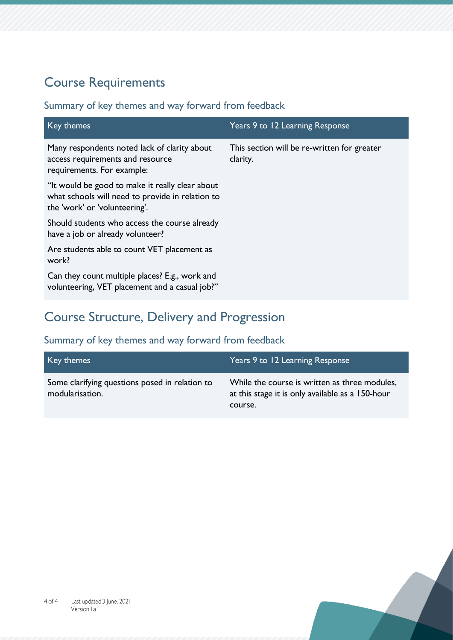# Course Requirements

### Summary of key themes and way forward from feedback

| Key themes                                                                                                                           | Years 9 to 12 Learning Response                         |
|--------------------------------------------------------------------------------------------------------------------------------------|---------------------------------------------------------|
| Many respondents noted lack of clarity about<br>access requirements and resource<br>requirements. For example:                       | This section will be re-written for greater<br>clarity. |
| "It would be good to make it really clear about<br>what schools will need to provide in relation to<br>the 'work' or 'volunteering'. |                                                         |
| Should students who access the course already<br>have a job or already volunteer?                                                    |                                                         |
| Are students able to count VET placement as<br>work?                                                                                 |                                                         |
| Can they count multiple places? E.g., work and<br>volunteering, VET placement and a casual job?"                                     |                                                         |

# Course Structure, Delivery and Progression

| Key themes                                                        | Years 9 to 12 Learning Response                                                                              |
|-------------------------------------------------------------------|--------------------------------------------------------------------------------------------------------------|
| Some clarifying questions posed in relation to<br>modularisation. | While the course is written as three modules,<br>at this stage it is only available as a 150-hour<br>course. |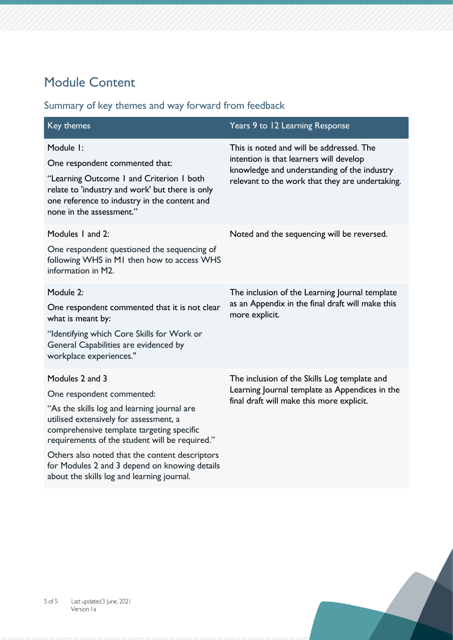# Module Content

| Key themes                                                                                                                                                                                                                                                                                                                                                                            | Years 9 to 12 Learning Response                                                                                                                                                       |
|---------------------------------------------------------------------------------------------------------------------------------------------------------------------------------------------------------------------------------------------------------------------------------------------------------------------------------------------------------------------------------------|---------------------------------------------------------------------------------------------------------------------------------------------------------------------------------------|
| Module I:<br>One respondent commented that:<br>"Learning Outcome I and Criterion I both<br>relate to 'industry and work' but there is only<br>one reference to industry in the content and<br>none in the assessment."                                                                                                                                                                | This is noted and will be addressed. The<br>intention is that learners will develop<br>knowledge and understanding of the industry<br>relevant to the work that they are undertaking. |
| Modules 1 and 2:<br>One respondent questioned the sequencing of<br>following WHS in MI then how to access WHS<br>information in M2.                                                                                                                                                                                                                                                   | Noted and the sequencing will be reversed.                                                                                                                                            |
| Module 2:<br>One respondent commented that it is not clear<br>what is meant by:<br>"Identifying which Core Skills for Work or<br>General Capabilities are evidenced by<br>workplace experiences."                                                                                                                                                                                     | The inclusion of the Learning Journal template<br>as an Appendix in the final draft will make this<br>more explicit.                                                                  |
| Modules 2 and 3<br>One respondent commented:<br>"As the skills log and learning journal are<br>utilised extensively for assessment, a<br>comprehensive template targeting specific<br>requirements of the student will be required."<br>Others also noted that the content descriptors<br>for Modules 2 and 3 depend on knowing details<br>about the skills log and learning journal. | The inclusion of the Skills Log template and<br>Learning Journal template as Appendices in the<br>final draft will make this more explicit.                                           |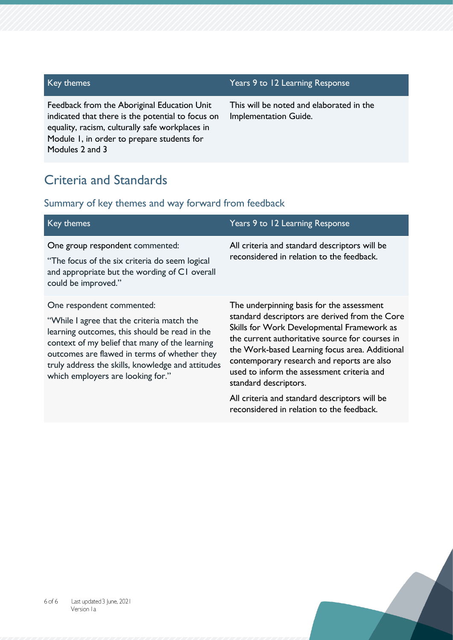Feedback from the Aboriginal Education Unit indicated that there is the potential to focus on equality, racism, culturally safe workplaces in Module 1, in order to prepare students for Modules 2 and 3

#### Key themes Years 9 to 12 Learning Response

This will be noted and elaborated in the Implementation Guide.

### Criteria and Standards

| Key themes                                                                                                                                                                                                                                                                                                           | Years 9 to 12 Learning Response                                                                                                                                                                                                                                                                                                                                     |
|----------------------------------------------------------------------------------------------------------------------------------------------------------------------------------------------------------------------------------------------------------------------------------------------------------------------|---------------------------------------------------------------------------------------------------------------------------------------------------------------------------------------------------------------------------------------------------------------------------------------------------------------------------------------------------------------------|
| One group respondent commented:<br>"The focus of the six criteria do seem logical<br>and appropriate but the wording of CI overall<br>could be improved."                                                                                                                                                            | All criteria and standard descriptors will be<br>reconsidered in relation to the feedback.                                                                                                                                                                                                                                                                          |
| One respondent commented:<br>"While I agree that the criteria match the<br>learning outcomes, this should be read in the<br>context of my belief that many of the learning<br>outcomes are flawed in terms of whether they<br>truly address the skills, knowledge and attitudes<br>which employers are looking for." | The underpinning basis for the assessment<br>standard descriptors are derived from the Core<br>Skills for Work Developmental Framework as<br>the current authoritative source for courses in<br>the Work-based Learning focus area. Additional<br>contemporary research and reports are also<br>used to inform the assessment criteria and<br>standard descriptors. |
|                                                                                                                                                                                                                                                                                                                      | All criteria and standard descriptors will be<br>reconsidered in relation to the feedback.                                                                                                                                                                                                                                                                          |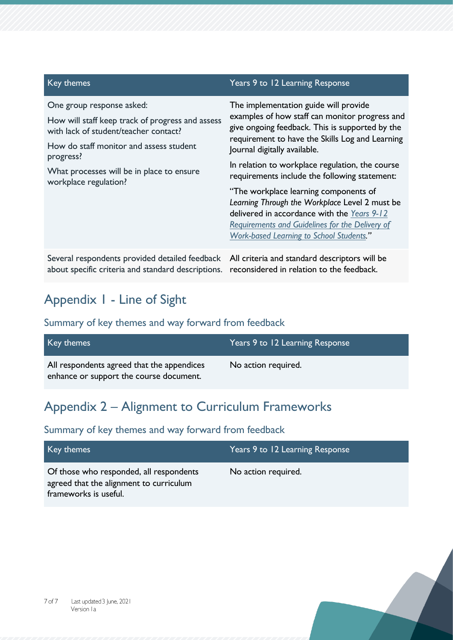| Key themes                                                                                                                                                                                                                                           | Years 9 to 12 Learning Response                                                                                                                                                                                                                                                                                                                                                                                                                                                                                                                                                          |
|------------------------------------------------------------------------------------------------------------------------------------------------------------------------------------------------------------------------------------------------------|------------------------------------------------------------------------------------------------------------------------------------------------------------------------------------------------------------------------------------------------------------------------------------------------------------------------------------------------------------------------------------------------------------------------------------------------------------------------------------------------------------------------------------------------------------------------------------------|
| One group response asked:<br>How will staff keep track of progress and assess<br>with lack of student/teacher contact?<br>How do staff monitor and assess student<br>progress?<br>What processes will be in place to ensure<br>workplace regulation? | The implementation guide will provide<br>examples of how staff can monitor progress and<br>give ongoing feedback. This is supported by the<br>requirement to have the Skills Log and Learning<br>Journal digitally available.<br>In relation to workplace regulation, the course<br>requirements include the following statement:<br>"The workplace learning components of<br>Learning Through the Workplace Level 2 must be<br>delivered in accordance with the Years 9-12<br><b>Requirements and Guidelines for the Delivery of</b><br><b>Work-based Learning to School Students."</b> |
| Several respondents provided detailed feedback<br>about specific criteria and standard descriptions.                                                                                                                                                 | All criteria and standard descriptors will be<br>reconsidered in relation to the feedback.                                                                                                                                                                                                                                                                                                                                                                                                                                                                                               |

# Appendix 1 - Line of Sight

### Summary of key themes and way forward from feedback

| Key themes                                                                            | Years 9 to 12 Learning Response |
|---------------------------------------------------------------------------------------|---------------------------------|
| All respondents agreed that the appendices<br>enhance or support the course document. | No action required.             |

# Appendix 2 – Alignment to Curriculum Frameworks

| Key themes                                                                                                  | Years 9 to 12 Learning Response |
|-------------------------------------------------------------------------------------------------------------|---------------------------------|
| Of those who responded, all respondents<br>agreed that the alignment to curriculum<br>frameworks is useful. | No action required.             |

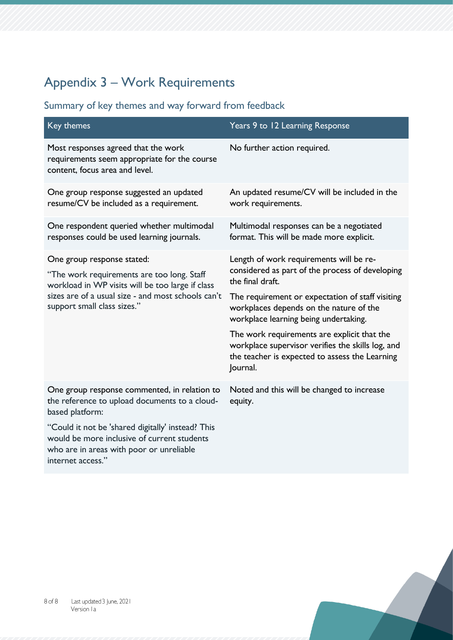# Appendix 3 – Work Requirements

| Key themes                                                                                                                                                                                                        | Years 9 to 12 Learning Response                                                                                                                                                                               |
|-------------------------------------------------------------------------------------------------------------------------------------------------------------------------------------------------------------------|---------------------------------------------------------------------------------------------------------------------------------------------------------------------------------------------------------------|
| Most responses agreed that the work<br>requirements seem appropriate for the course<br>content, focus area and level.                                                                                             | No further action required.                                                                                                                                                                                   |
| One group response suggested an updated<br>resume/CV be included as a requirement.                                                                                                                                | An updated resume/CV will be included in the<br>work requirements.                                                                                                                                            |
| One respondent queried whether multimodal<br>responses could be used learning journals.                                                                                                                           | Multimodal responses can be a negotiated<br>format. This will be made more explicit.                                                                                                                          |
| One group response stated:<br>"The work requirements are too long. Staff<br>workload in WP visits will be too large if class<br>sizes are of a usual size - and most schools can't<br>support small class sizes." | Length of work requirements will be re-<br>considered as part of the process of developing<br>the final draft.<br>The requirement or expectation of staff visiting<br>workplaces depends on the nature of the |
|                                                                                                                                                                                                                   | workplace learning being undertaking.<br>The work requirements are explicit that the<br>workplace supervisor verifies the skills log, and<br>the teacher is expected to assess the Learning<br>Journal.       |
| One group response commented, in relation to<br>the reference to upload documents to a cloud-<br>based platform:                                                                                                  | Noted and this will be changed to increase<br>equity.                                                                                                                                                         |
| "Could it not be 'shared digitally' instead? This<br>would be more inclusive of current students<br>who are in areas with poor or unreliable<br>internet access."                                                 |                                                                                                                                                                                                               |

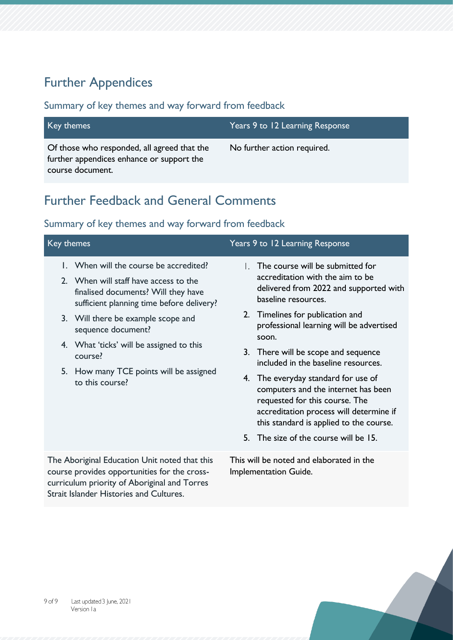# Further Appendices

### Summary of key themes and way forward from feedback

| Key themes                                                                               | Years 9 to 12 Learning Response |
|------------------------------------------------------------------------------------------|---------------------------------|
| Of those who responded, all agreed that the<br>further appendices enhance or support the | No further action required.     |
| course document.                                                                         |                                 |

# Further Feedback and General Comments

| Key themes                                                                                                                                                                                      |                                           |                                                                                                                                                                                                    | Years 9 to 12 Learning Response                                                                                                       |
|-------------------------------------------------------------------------------------------------------------------------------------------------------------------------------------------------|-------------------------------------------|----------------------------------------------------------------------------------------------------------------------------------------------------------------------------------------------------|---------------------------------------------------------------------------------------------------------------------------------------|
| 1. When will the course be accredited?<br>2. When will staff have access to the<br>finalised documents? Will they have                                                                          | sufficient planning time before delivery? |                                                                                                                                                                                                    | The course will be submitted for<br>accreditation with the aim to be<br>delivered from 2022 and supported with<br>baseline resources. |
| 3. Will there be example scope and<br>sequence document?                                                                                                                                        |                                           |                                                                                                                                                                                                    | 2. Timelines for publication and<br>professional learning will be advertised<br>soon.                                                 |
| 4. What 'ticks' will be assigned to this<br>course?<br>5. How many TCE points will be assigned<br>to this course?                                                                               |                                           | 3. There will be scope and sequence<br>included in the baseline resources.                                                                                                                         |                                                                                                                                       |
|                                                                                                                                                                                                 |                                           | 4. The everyday standard for use of<br>computers and the internet has been<br>requested for this course. The<br>accreditation process will determine if<br>this standard is applied to the course. |                                                                                                                                       |
|                                                                                                                                                                                                 |                                           | 5.                                                                                                                                                                                                 | The size of the course will be 15.                                                                                                    |
| The Aboriginal Education Unit noted that this<br>course provides opportunities for the cross-<br>curriculum priority of Aboriginal and Torres<br><b>Strait Islander Histories and Cultures.</b> |                                           |                                                                                                                                                                                                    | This will be noted and elaborated in the<br>Implementation Guide.                                                                     |